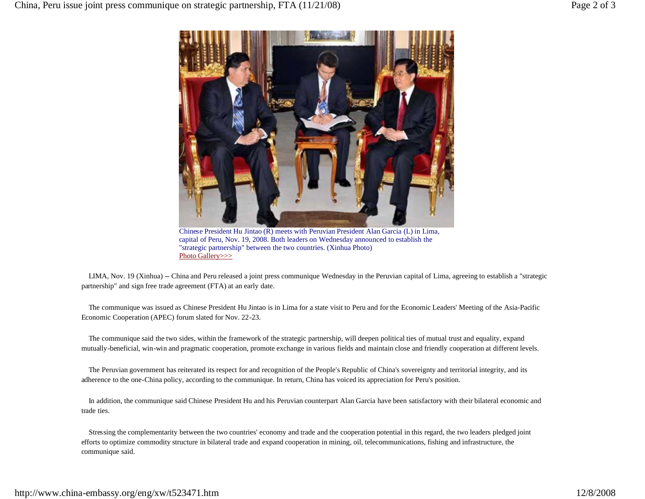

Chinese President Hu Jintao (R) meets with Peruvian President Alan Garcia (L) in Lima, capital of Peru, Nov. 19, 2008. Both leaders on Wednesday announced to establish the "strategic partnership" between the two countries. (Xinhua Photo) Photo Gallery>>>

 LIMA, Nov. 19 (Xinhua) -- China and Peru released a joint press communique Wednesday in the Peruvian capital of Lima, agreeing to establish a "strategic partnership" and sign free trade agreement (FTA) at an early date.

 The communique was issued as Chinese President Hu Jintao is in Lima for a state visit to Peru and for the Economic Leaders' Meeting of the Asia-Pacific Economic Cooperation (APEC) forum slated for Nov. 22-23.

 The communique said the two sides, within the framework of the strategic partnership, will deepen political ties of mutual trust and equality, expand mutually-beneficial, win-win and pragmatic cooperation, promote exchange in various fields and maintain close and friendly cooperation at different levels.

 The Peruvian government has reiterated its respect for and recognition of the People's Republic of China's sovereignty and territorial integrity, and its adherence to the one-China policy, according to the communique. In return, China has voiced its appreciation for Peru's position.

 In addition, the communique said Chinese President Hu and his Peruvian counterpart Alan Garcia have been satisfactory with their bilateral economic and trade ties.

 Stressing the complementarity between the two countries' economy and trade and the cooperation potential in this regard, the two leaders pledged joint efforts to optimize commodity structure in bilateral trade and expand cooperation in mining, oil, telecommunications, fishing and infrastructure, the communique said.